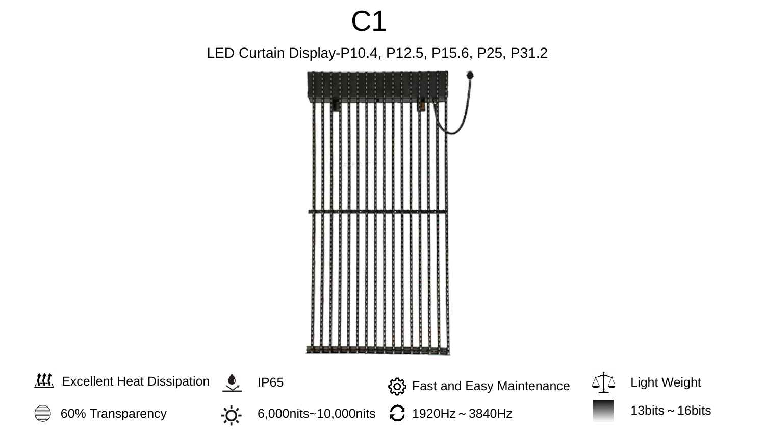# C1

LED Curtain Display-P10.4, P12.5, P15.6, P25, P31.2



Excellent Heat Dissipation  $\sqrt{2}$  IP65  $\sqrt{2}$  Fast and Easy Maintenance  $\sqrt{2}$  Light Weight 6,000nits~10,000nits  $\bigodot$  1920Hz~3840Hz 13bits~16bits <u>-</u>ö. 60% Transparency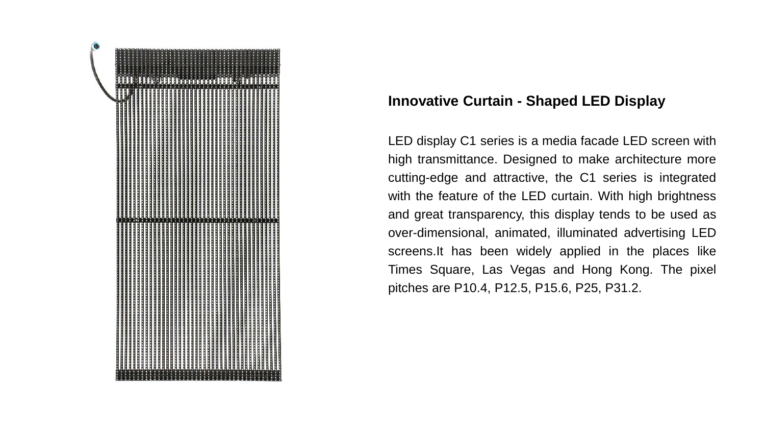

## **Innovative Curtain - Shaped LED Display**

LED display C1 series is a media facade LED screen with high transmittance. Designed to make architecture more cutting-edge and attractive, the C1 series is integrated with the feature of the LED curtain. With high brightness and great transparency, this display tends to be used as over-dimensional, animated, illuminated advertising LED screens.It has been widely applied in the places like Times Square, Las Vegas and Hong Kong. The pixel pitches are P10.4, P12.5, P15.6, P25, P31.2.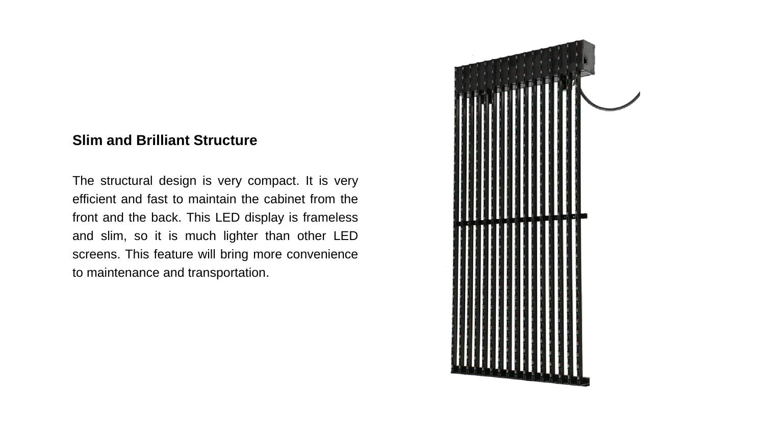#### **Slim and Brilliant Structure**

The structural design is very compact. It is very efficient and fast to maintain the cabinet from the front and the back. This LED display is frameless and slim, so it is much lighter than other LED screens. This feature will bring more convenience to maintenance and transportation.

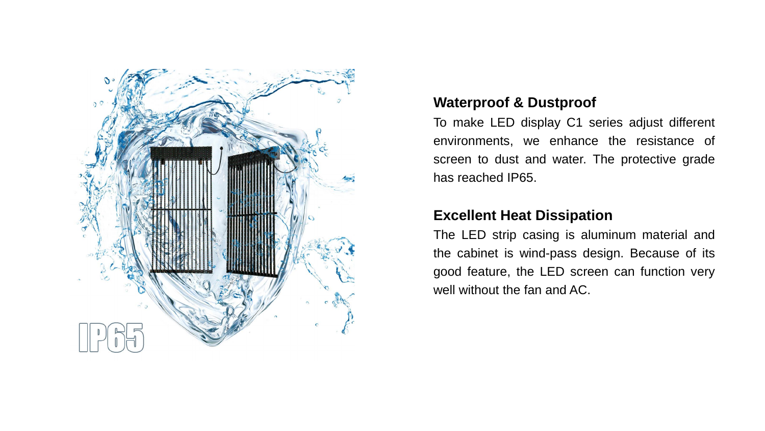

### **Waterproof & Dustproof**

To make LED display C1 series adjust different environments, we enhance the resistance of screen to dust and water. The protective grade has reached IP65.

## **Excellent Heat Dissipation**

The LED strip casing is aluminum material and the cabinet is wind-pass design. Because of its good feature, the LED screen can function very well without the fan and AC.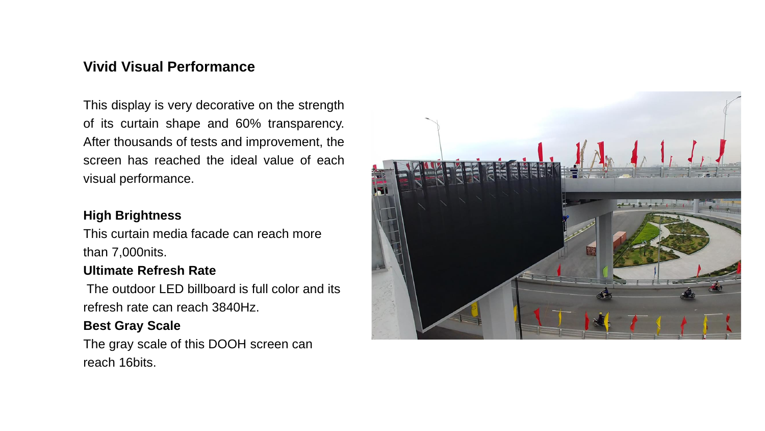## **Vivid Visual Performance**

This display is very decorative on the strength of its curtain shape and 60% transparency. After thousands of tests and improvement, the screen has reached the ideal value of each visual performance.

#### **High Brightness**

This curtain media facade can reach more than 7,000nits.

#### **Ultimate Refresh Rate**

The outdoor LED billboard is full color and its refresh rate can reach 3840Hz.

#### **Best Gray Scale**

The gray scale of this DOOH screen can reach 16bits.

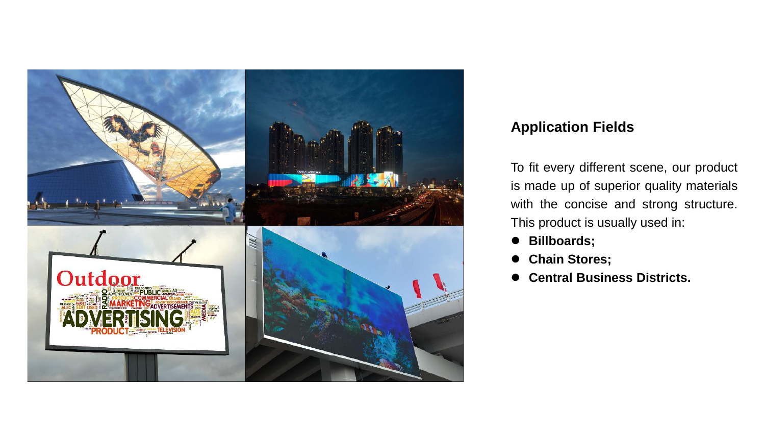

## **Application Fields**

To fit every different scene, our product is made up of superior quality materials with the concise and strong structure. This product is usually used in:

- ⚫ **Billboards;**
- ⚫ **Chain Stores;**
- ⚫ **Central Business Districts.**